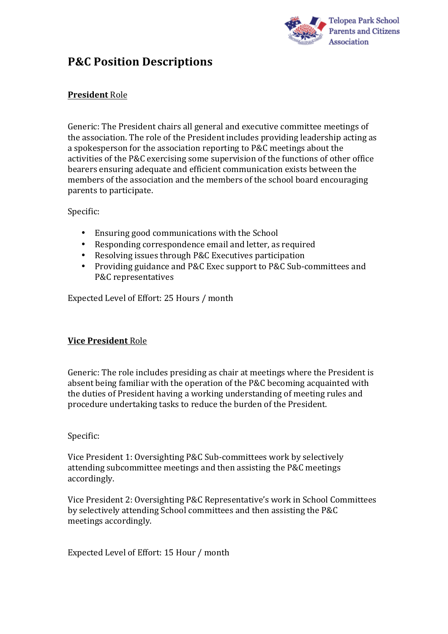

# **P&C Position Descriptions**

# **President** Role

Generic: The President chairs all general and executive committee meetings of the association. The role of the President includes providing leadership acting as a spokesperson for the association reporting to P&C meetings about the activities of the P&C exercising some supervision of the functions of other office bearers ensuring adequate and efficient communication exists between the members of the association and the members of the school board encouraging parents to participate.

#### Specific:

- Ensuring good communications with the School
- Responding correspondence email and letter, as required
- Resolving issues through P&C Executives participation
- Providing guidance and P&C Exec support to P&C Sub-committees and P&C representatives

Expected Level of Effort: 25 Hours / month

# **Vice President** Role

Generic: The role includes presiding as chair at meetings where the President is absent being familiar with the operation of the P&C becoming acquainted with the duties of President having a working understanding of meeting rules and procedure undertaking tasks to reduce the burden of the President.

# Specific:

Vice President 1: Oversighting P&C Sub-committees work by selectively attending subcommittee meetings and then assisting the P&C meetings accordingly. 

Vice President 2: Oversighting P&C Representative's work in School Committees by selectively attending School committees and then assisting the P&C meetings accordingly. 

Expected Level of Effort: 15 Hour / month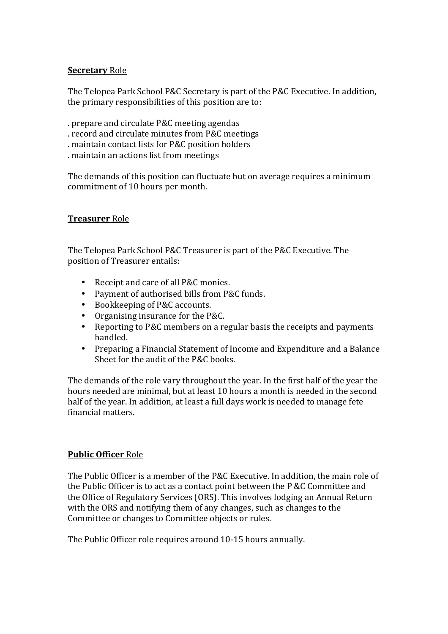# **Secretary** Role

The Telopea Park School P&C Secretary is part of the P&C Executive. In addition, the primary responsibilities of this position are to:

- . prepare and circulate P&C meeting agendas
- . record and circulate minutes from P&C meetings
- . maintain contact lists for P&C position holders
- . maintain an actions list from meetings

The demands of this position can fluctuate but on average requires a minimum commitment of 10 hours per month.

# **Treasurer** Role

The Telopea Park School P&C Treasurer is part of the P&C Executive. The position of Treasurer entails:

- Receipt and care of all P&C monies.
- Payment of authorised bills from P&C funds.
- Bookkeeping of P&C accounts.
- Organising insurance for the  $P&C$ .
- Reporting to P&C members on a regular basis the receipts and payments handled.
- Preparing a Financial Statement of Income and Expenditure and a Balance Sheet for the audit of the  $P&C$  books.

The demands of the role vary throughout the year. In the first half of the year the hours needed are minimal, but at least 10 hours a month is needed in the second half of the year. In addition, at least a full days work is needed to manage fete financial matters. 

# **Public Officer Role**

The Public Officer is a member of the P&C Executive. In addition, the main role of the Public Officer is to act as a contact point between the  $P \& C$  Committee and the Office of Regulatory Services (ORS). This involves lodging an Annual Return with the ORS and notifying them of any changes, such as changes to the Committee or changes to Committee objects or rules.

The Public Officer role requires around 10-15 hours annually.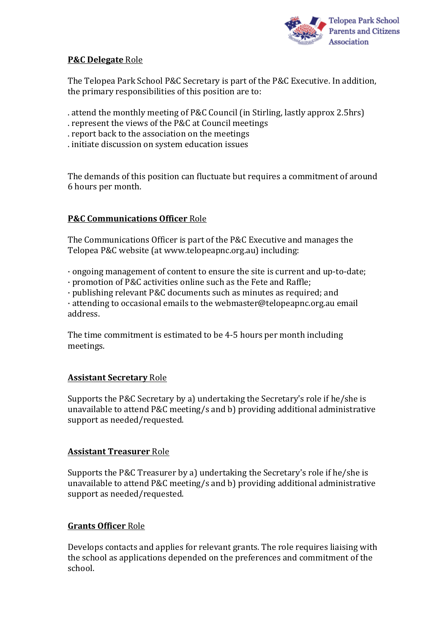

# **P&C Delegate** Role

The Telopea Park School P&C Secretary is part of the P&C Executive. In addition, the primary responsibilities of this position are to:

- . attend the monthly meeting of P&C Council (in Stirling, lastly approx 2.5hrs)
- . represent the views of the P&C at Council meetings
- . report back to the association on the meetings
- . initiate discussion on system education issues

The demands of this position can fluctuate but requires a commitment of around 6 hours per month. 

# **P&C Communications Officer Role**

The Communications Officer is part of the P&C Executive and manages the Telopea P&C website (at www.telopeapnc.org.au) including:

 $\cdot$  ongoing management of content to ensure the site is current and up-to-date;

· promotion of P&C activities online such as the Fete and Raffle; 

 $\cdot$  publishing relevant P&C documents such as minutes as required; and

 $\cdot$  attending to occasional emails to the webmaster@telopeapnc.org.au email address. 

The time commitment is estimated to be 4-5 hours per month including meetings. 

# **Assistant Secretary Role**

Supports the P&C Secretary by a) undertaking the Secretary's role if he/she is unavailable to attend P&C meeting/s and b) providing additional administrative support as needed/requested.

# **Assistant Treasurer** Role

Supports the P&C Treasurer by a) undertaking the Secretary's role if he/she is unavailable to attend P&C meeting/s and b) providing additional administrative support as needed/requested.

# **Grants Officer** Role

Develops contacts and applies for relevant grants. The role requires liaising with the school as applications depended on the preferences and commitment of the school.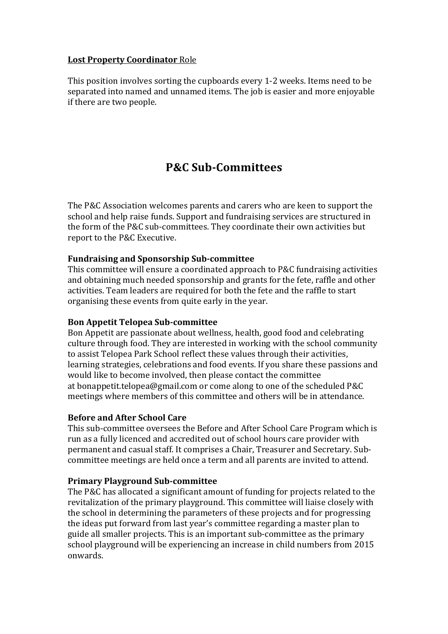# **Lost Property Coordinator** Role

This position involves sorting the cupboards every 1-2 weeks. Items need to be separated into named and unnamed items. The job is easier and more enjoyable if there are two people.

# **P&C Sub-Committees**

The P&C Association welcomes parents and carers who are keen to support the school and help raise funds. Support and fundraising services are structured in the form of the P&C sub-committees. They coordinate their own activities but report to the P&C Executive.

# **Fundraising and Sponsorship Sub-committee**

This committee will ensure a coordinated approach to P&C fundraising activities and obtaining much needed sponsorship and grants for the fete, raffle and other activities. Team leaders are required for both the fete and the raffle to start organising these events from quite early in the year.

#### **Bon Appetit Telopea Sub-committee**

Bon Appetit are passionate about wellness, health, good food and celebrating culture through food. They are interested in working with the school community to assist Telopea Park School reflect these values through their activities, learning strategies, celebrations and food events. If you share these passions and would like to become involved, then please contact the committee at bonappetit.telopea@gmail.com or come along to one of the scheduled  $P\&C$ meetings where members of this committee and others will be in attendance.

#### **Before and After School Care**

This sub-committee oversees the Before and After School Care Program which is run as a fully licenced and accredited out of school hours care provider with permanent and casual staff. It comprises a Chair, Treasurer and Secretary. Subcommittee meetings are held once a term and all parents are invited to attend.

#### **Primary Playground Sub-committee**

The P&C has allocated a significant amount of funding for projects related to the revitalization of the primary playground. This committee will liaise closely with the school in determining the parameters of these projects and for progressing the ideas put forward from last vear's committee regarding a master plan to guide all smaller projects. This is an important sub-committee as the primary school playground will be experiencing an increase in child numbers from 2015 onwards.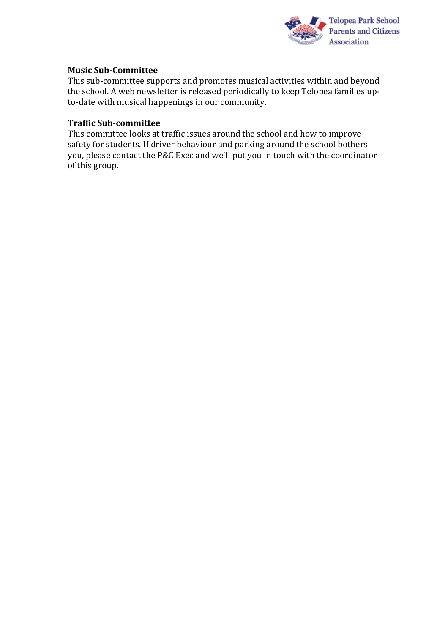

### **Music Sub-Committee**

This sub-committee supports and promotes musical activities within and beyond the school. A web newsletter is released periodically to keep Telopea families upto-date with musical happenings in our community.

### **Traffic Sub-committee**

This committee looks at traffic issues around the school and how to improve safety for students. If driver behaviour and parking around the school bothers you, please contact the P&C Exec and we'll put you in touch with the coordinator of this group.